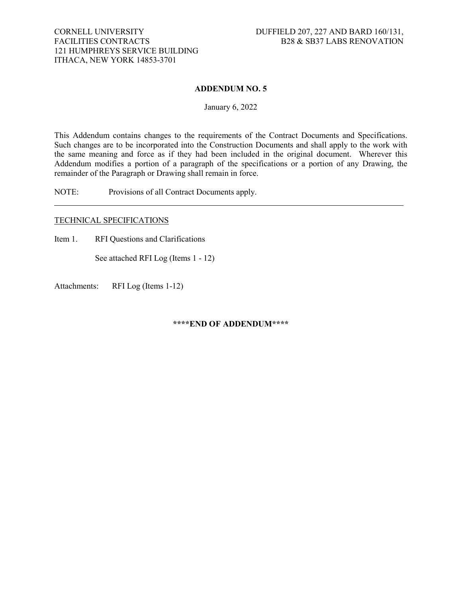## **ADDENDUM NO. 5**

January 6, 2022

This Addendum contains changes to the requirements of the Contract Documents and Specifications. Such changes are to be incorporated into the Construction Documents and shall apply to the work with the same meaning and force as if they had been included in the original document. Wherever this Addendum modifies a portion of a paragraph of the specifications or a portion of any Drawing, the remainder of the Paragraph or Drawing shall remain in force.

NOTE: Provisions of all Contract Documents apply.

## TECHNICAL SPECIFICATIONS

Item 1. RFI Questions and Clarifications

See attached RFI Log (Items 1 - 12)

Attachments: RFI Log (Items 1-12)

**\*\*\*\*END OF ADDENDUM\*\*\*\***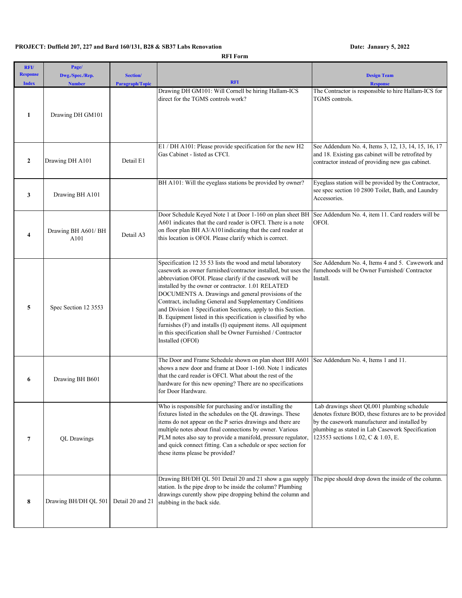## **PROJECT: Duffield 207, 227 and Bard 160/131, B28 & SB37 Labs Renovation Date: Janaury 5, 2022**

**RFI Form**

| RFI/<br><b>Response</b><br><b>Index</b> | Page/<br>Dwg./Spec./Rep.<br><b>Number</b> | Section/<br><b>Paragraph/Topic</b> | <b>RFI</b>                                                                                                                                                                                                                                                                                                                                                                                                                                                                                                                                                                                                                                                | <b>Design Team</b><br><b>Response</b>                                                                                                                                                                                                           |
|-----------------------------------------|-------------------------------------------|------------------------------------|-----------------------------------------------------------------------------------------------------------------------------------------------------------------------------------------------------------------------------------------------------------------------------------------------------------------------------------------------------------------------------------------------------------------------------------------------------------------------------------------------------------------------------------------------------------------------------------------------------------------------------------------------------------|-------------------------------------------------------------------------------------------------------------------------------------------------------------------------------------------------------------------------------------------------|
| 1                                       | Drawing DH GM101                          |                                    | Drawing DH GM101: Will Cornell be hiring Hallam-ICS<br>direct for the TGMS controls work?                                                                                                                                                                                                                                                                                                                                                                                                                                                                                                                                                                 | The Contractor is responsible to hire Hallam-ICS for<br>TGMS controls.                                                                                                                                                                          |
| $\overline{2}$                          | Drawing DH A101                           | Detail E1                          | E1 / DH A101: Please provide specification for the new H2<br>Gas Cabinet - listed as CFCI.                                                                                                                                                                                                                                                                                                                                                                                                                                                                                                                                                                | See Addendum No. 4, Items 3, 12, 13, 14, 15, 16, 17<br>and 18. Existing gas cabinet will be retrofited by<br>contractor instead of providing new gas cabinet.                                                                                   |
| 3                                       | Drawing BH A101                           |                                    | BH A101: Will the eyeglass stations be provided by owner?                                                                                                                                                                                                                                                                                                                                                                                                                                                                                                                                                                                                 | Eyeglass station will be provided by the Contractor,<br>see spec section 10 2800 Toilet, Bath, and Laundry<br>Accessories.                                                                                                                      |
| 4                                       | Drawing BH A601/ BH<br>A101               | Detail A3                          | Door Schedule Keyed Note 1 at Door 1-160 on plan sheet BH<br>A601 indicates that the card reader is OFCI. There is a note<br>on floor plan BH A3/A101 indicating that the card reader at<br>this location is OFOI. Please clarify which is correct.                                                                                                                                                                                                                                                                                                                                                                                                       | See Addendum No. 4, item 11. Card readers will be<br>OFOI.                                                                                                                                                                                      |
| 5                                       | Spec Section 12 3553                      |                                    | Specification 12 35 53 lists the wood and metal laboratory<br>casework as owner furnished/contractor installed, but uses the<br>abbreviation OFOI. Please clarify if the casework will be<br>installed by the owner or contractor. 1.01 RELATED<br>DOCUMENTS A. Drawings and general provisions of the<br>Contract, including General and Supplementary Conditions<br>and Division 1 Specification Sections, apply to this Section.<br>B. Equipment listed in this specification is classified by who<br>furnishes (F) and installs (I) equipment items. All equipment<br>in this specification shall be Owner Furnished / Contractor<br>Installed (OFOI) | See Addendum No. 4, Items 4 and 5. Cawework and<br>fumehoods will be Owner Furnished/Contractor<br>Install.                                                                                                                                     |
| 6                                       | Drawing BH B601                           |                                    | The Door and Frame Schedule shown on plan sheet BH A601<br>shows a new door and frame at Door 1-160. Note 1 indicates<br>that the card reader is OFCI. What about the rest of the<br>hardware for this new opening? There are no specifications<br>for Door Hardware.                                                                                                                                                                                                                                                                                                                                                                                     | See Addendum No. 4, Items 1 and 11.                                                                                                                                                                                                             |
| $\overline{7}$                          | <b>QL</b> Drawings                        |                                    | Who is responsible for purchasing and/or installing the<br>fixtures listed in the schedules on the QL drawings. These<br>items do not appear on the P series drawings and there are<br>multiple notes about final connections by owner. Various<br>PLM notes also say to provide a manifold, pressure regulator,<br>and quick connect fitting. Can a schedule or spec section for<br>these items please be provided?                                                                                                                                                                                                                                      | Lab drawings sheet QL001 plumbing schedule<br>denotes fixture BOD, these fixtures are to be provided<br>by the casework manufacturer and installed by<br>plumbing as stated in Lab Casework Specification<br>123553 sections 1.02, C & 1.03, E. |
| 8                                       | Drawing BH/DH QL 501                      | Detail 20 and 21                   | Drawing BH/DH QL 501 Detail 20 and 21 show a gas supply<br>station. Is the pipe drop to be inside the column? Plumbing<br>drawings curently show pipe dropping behind the column and<br>stubbing in the back side.                                                                                                                                                                                                                                                                                                                                                                                                                                        | The pipe should drop down the inside of the column.                                                                                                                                                                                             |